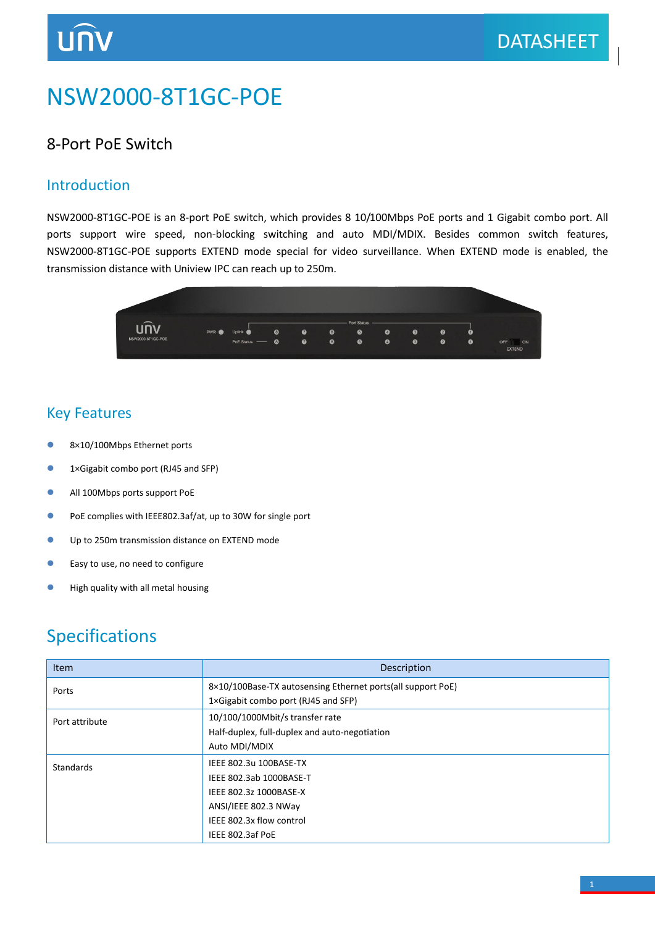# NSW2000-8T1GC-POE

### 8-Port PoE Switch

#### Introduction

NSW2000-8T1GC-POE is an 8-port PoE switch, which provides 8 10/100Mbps PoE ports and 1 Gigabit combo port. All ports support wire speed, non-blocking switching and auto MDI/MDIX. Besides common switch features, NSW2000-8T1GC-POE supports EXTEND mode special for video surveillance. When EXTEND mode is enabled, the transmission distance with Uniview IPC can reach up to 250m.



#### Key Features

- 8×10/100Mbps Ethernet ports
- 1×Gigabit combo port (RJ45 and SFP)
- All 100Mbps ports support PoE
- PoE complies with IEEE802.3af/at, up to 30W for single port
- Up to 250m transmission distance on EXTEND mode
- **Easy to use, no need to configure**
- **•** High quality with all metal housing

## Specifications

| <b>Item</b>      | Description                                                 |
|------------------|-------------------------------------------------------------|
| Ports            | 8×10/100Base-TX autosensing Ethernet ports(all support PoE) |
|                  | 1×Gigabit combo port (RJ45 and SFP)                         |
| Port attribute   | 10/100/1000Mbit/s transfer rate                             |
|                  | Half-duplex, full-duplex and auto-negotiation               |
|                  | Auto MDI/MDIX                                               |
| <b>Standards</b> | IEEE 802.3u 100BASE-TX                                      |
|                  | IEEE 802.3ab 1000BASE-T                                     |
|                  | IEEE 802.3z 1000BASE-X                                      |
|                  | ANSI/IEEE 802.3 NWay                                        |
|                  | IEEE 802.3x flow control                                    |
|                  | IEEE 802.3af PoE                                            |